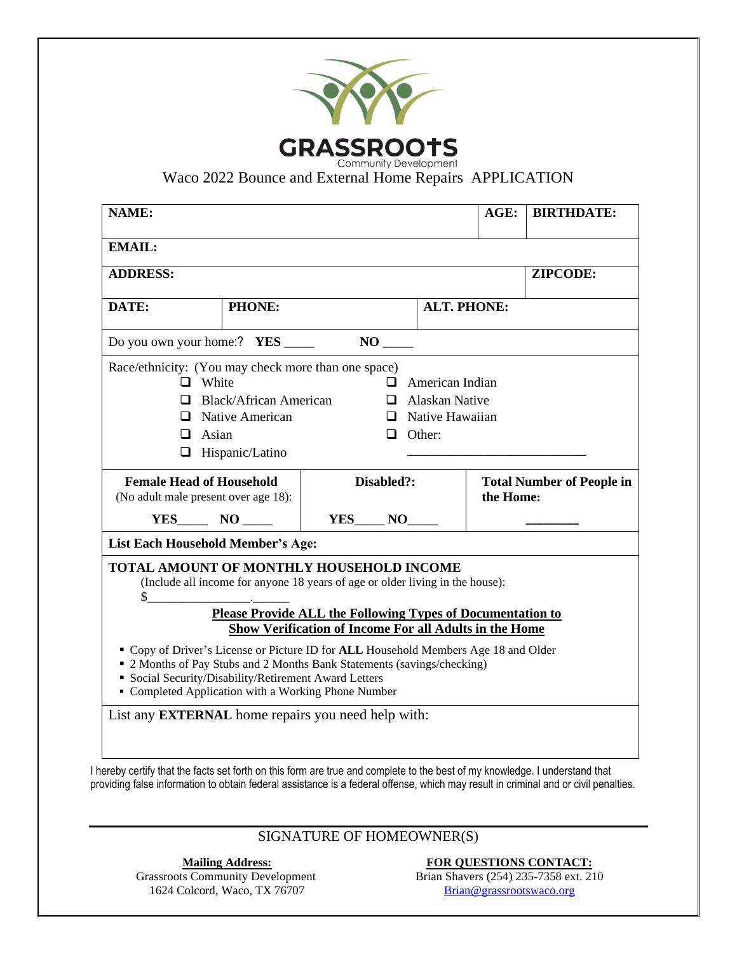| Race/ethnicity: (You may check more than one space)<br>Disabled?:<br>$YES$ $NO$                                                                                | $\Box$ Other:                                                                                                             | <b>ALT. PHONE:</b><br>$\Box$ American Indian<br>$\Box$ Alaskan Native<br>$\Box$ Native Hawaiian | $AGE$ :<br>the Home:                                      | <b>BIRTHDATE:</b><br>ZIPCODE:<br><b>Total Number of People in</b>                                                                                                                                                                                                  |  |  |
|----------------------------------------------------------------------------------------------------------------------------------------------------------------|---------------------------------------------------------------------------------------------------------------------------|-------------------------------------------------------------------------------------------------|-----------------------------------------------------------|--------------------------------------------------------------------------------------------------------------------------------------------------------------------------------------------------------------------------------------------------------------------|--|--|
|                                                                                                                                                                |                                                                                                                           |                                                                                                 |                                                           |                                                                                                                                                                                                                                                                    |  |  |
|                                                                                                                                                                |                                                                                                                           |                                                                                                 |                                                           |                                                                                                                                                                                                                                                                    |  |  |
|                                                                                                                                                                |                                                                                                                           |                                                                                                 |                                                           |                                                                                                                                                                                                                                                                    |  |  |
|                                                                                                                                                                |                                                                                                                           |                                                                                                 |                                                           |                                                                                                                                                                                                                                                                    |  |  |
|                                                                                                                                                                |                                                                                                                           |                                                                                                 |                                                           |                                                                                                                                                                                                                                                                    |  |  |
|                                                                                                                                                                |                                                                                                                           |                                                                                                 |                                                           |                                                                                                                                                                                                                                                                    |  |  |
|                                                                                                                                                                |                                                                                                                           |                                                                                                 |                                                           |                                                                                                                                                                                                                                                                    |  |  |
|                                                                                                                                                                |                                                                                                                           |                                                                                                 |                                                           |                                                                                                                                                                                                                                                                    |  |  |
|                                                                                                                                                                |                                                                                                                           |                                                                                                 |                                                           |                                                                                                                                                                                                                                                                    |  |  |
|                                                                                                                                                                |                                                                                                                           |                                                                                                 |                                                           |                                                                                                                                                                                                                                                                    |  |  |
|                                                                                                                                                                |                                                                                                                           |                                                                                                 |                                                           |                                                                                                                                                                                                                                                                    |  |  |
|                                                                                                                                                                |                                                                                                                           |                                                                                                 |                                                           |                                                                                                                                                                                                                                                                    |  |  |
|                                                                                                                                                                |                                                                                                                           |                                                                                                 |                                                           |                                                                                                                                                                                                                                                                    |  |  |
|                                                                                                                                                                |                                                                                                                           |                                                                                                 |                                                           |                                                                                                                                                                                                                                                                    |  |  |
|                                                                                                                                                                |                                                                                                                           |                                                                                                 |                                                           |                                                                                                                                                                                                                                                                    |  |  |
|                                                                                                                                                                |                                                                                                                           |                                                                                                 |                                                           |                                                                                                                                                                                                                                                                    |  |  |
|                                                                                                                                                                | TOTAL AMOUNT OF MONTHLY HOUSEHOLD INCOME<br>(Include all income for anyone 18 years of age or older living in the house): |                                                                                                 |                                                           |                                                                                                                                                                                                                                                                    |  |  |
|                                                                                                                                                                |                                                                                                                           |                                                                                                 |                                                           |                                                                                                                                                                                                                                                                    |  |  |
| <b>Please Provide ALL the Following Types of Documentation to</b>                                                                                              |                                                                                                                           |                                                                                                 |                                                           |                                                                                                                                                                                                                                                                    |  |  |
| Show Verification of Income For all Adults in the Home                                                                                                         |                                                                                                                           |                                                                                                 |                                                           |                                                                                                                                                                                                                                                                    |  |  |
| " Copy of Driver's License or Picture ID for ALL Household Members Age 18 and Older<br>• 2 Months of Pay Stubs and 2 Months Bank Statements (savings/checking) |                                                                                                                           |                                                                                                 |                                                           |                                                                                                                                                                                                                                                                    |  |  |
| • Social Security/Disability/Retirement Award Letters                                                                                                          |                                                                                                                           |                                                                                                 |                                                           |                                                                                                                                                                                                                                                                    |  |  |
| • Completed Application with a Working Phone Number                                                                                                            |                                                                                                                           |                                                                                                 |                                                           |                                                                                                                                                                                                                                                                    |  |  |
|                                                                                                                                                                |                                                                                                                           |                                                                                                 |                                                           |                                                                                                                                                                                                                                                                    |  |  |
|                                                                                                                                                                |                                                                                                                           |                                                                                                 |                                                           |                                                                                                                                                                                                                                                                    |  |  |
|                                                                                                                                                                |                                                                                                                           |                                                                                                 |                                                           |                                                                                                                                                                                                                                                                    |  |  |
|                                                                                                                                                                |                                                                                                                           |                                                                                                 |                                                           |                                                                                                                                                                                                                                                                    |  |  |
|                                                                                                                                                                |                                                                                                                           |                                                                                                 |                                                           |                                                                                                                                                                                                                                                                    |  |  |
|                                                                                                                                                                |                                                                                                                           |                                                                                                 |                                                           |                                                                                                                                                                                                                                                                    |  |  |
|                                                                                                                                                                |                                                                                                                           |                                                                                                 |                                                           |                                                                                                                                                                                                                                                                    |  |  |
|                                                                                                                                                                | SIGNATURE OF HOMEOWNER(S)                                                                                                 |                                                                                                 | List any <b>EXTERNAL</b> home repairs you need help with: | I hereby certify that the facts set forth on this form are true and complete to the best of my knowledge. I understand that<br>providing false information to obtain federal assistance is a federal offense, which may result in criminal and or civil penalties. |  |  |